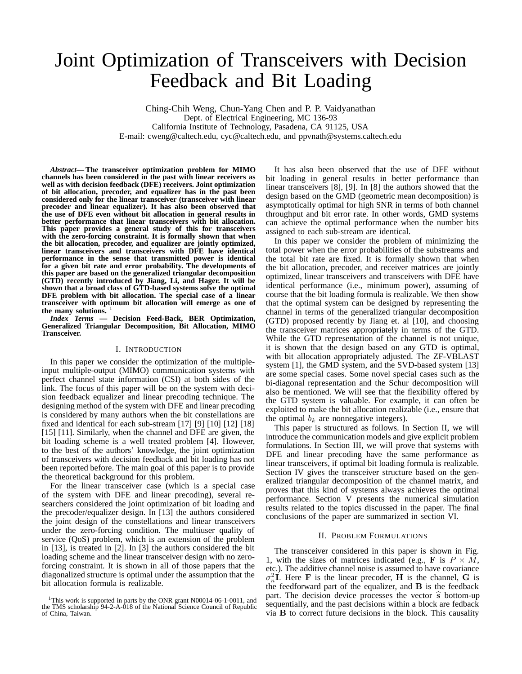# Joint Optimization of Transceivers with Decision Feedback and Bit Loading

Ching-Chih Weng, Chun-Yang Chen and P. P. Vaidyanathan Dept. of Electrical Engineering, MC 136-93 California Institute of Technology, Pasadena, CA 91125, USA E-mail: cweng@caltech.edu, cyc@caltech.edu, and ppvnath@systems.caltech.edu

*Abstract***— The transceiver optimization problem for MIMO channels has been considered in the past with linear receivers as well as with decision feedback (DFE) receivers. Joint optimization of bit allocation, precoder, and equalizer has in the past been considered only for the linear transceiver (transceiver with linear precoder and linear equalizer). It has also been observed that the use of DFE even without bit allocation in general results in better performance that linear transceivers with bit allocation. This paper provides a general study of this for transceivers with the zero-forcing constraint. It is formally shown that when the bit allocation, precoder, and equalizer are jointly optimized, linear transceivers and transceivers with DFE have identical performance in the sense that transmitted power is identical for a given bit rate and error probability. The developments of this paper are based on the generalized triangular decomposition (GTD) recently introduced by Jiang, Li, and Hager. It will be shown that a broad class of GTD-based systems solve the optimal DFE problem with bit allocation. The special case of a linear transceiver with optimum bit allocation will emerge as one of the many solutions.** <sup>1</sup>

*Index Terms* **— Decision Feed-Back, BER Optimization, Generalized Triangular Decomposition, Bit Allocation, MIMO Transceiver.**

# I. INTRODUCTION

In this paper we consider the optimization of the multipleinput multiple-output (MIMO) communication systems with perfect channel state information (CSI) at both sides of the link. The focus of this paper will be on the system with decision feedback equalizer and linear precoding technique. The designing method of the system with DFE and linear precoding is considered by many authors when the bit constellations are fixed and identical for each sub-stream [17] [9] [10] [12] [18] [15] [11]. Similarly, when the channel and DFE are given, the bit loading scheme is a well treated problem [4]. However, to the best of the authors' knowledge, the joint optimization of transceivers with decision feedback and bit loading has not been reported before. The main goal of this paper is to provide the theoretical background for this problem.

For the linear transceiver case (which is a special case of the system with DFE and linear precoding), several researchers considered the joint optimization of bit loading and the precoder/equalizer design. In [13] the authors considered the joint design of the constellations and linear transceivers under the zero-forcing condition. The multiuser quality of service (QoS) problem, which is an extension of the problem in [13], is treated in [2]. In [3] the authors considered the bit loading scheme and the linear transceiver design with no zeroforcing constraint. It is shown in all of those papers that the diagonalized structure is optimal under the assumption that the bit allocation formula is realizable.

It has also been observed that the use of DFE without bit loading in general results in better performance than linear transceivers [8], [9]. In [8] the authors showed that the design based on the GMD (geometric mean decomposition) is asymptotically optimal for high SNR in terms of both channel throughput and bit error rate. In other words, GMD systems can achieve the optimal performance when the number bits assigned to each sub-stream are identical.

In this paper we consider the problem of minimizing the total power when the error probabilities of the substreams and the total bit rate are fixed. It is formally shown that when the bit allocation, precoder, and receiver matrices are jointly optimized, linear transceivers and transceivers with DFE have identical performance (i.e., minimum power), assuming of course that the bit loading formula is realizable. We then show that the optimal system can be designed by representing the channel in terms of the generalized triangular decomposition (GTD) proposed recently by Jiang et. al [10], and choosing the transceiver matrices appropriately in terms of the GTD. While the GTD representation of the channel is not unique, it is shown that the design based on any GTD is optimal, with bit allocation appropriately adjusted. The ZF-VBLAST system [1], the GMD system, and the SVD-based system [13] are some special cases. Some novel special cases such as the bi-diagonal representation and the Schur decomposition will also be mentioned. We will see that the flexibility offered by the GTD system is valuable. For example, it can often be exploited to make the bit allocation realizable (i.e., ensure that the optimal  $b_k$  are nonnegative integers).

This paper is structured as follows. In Section II, we will introduce the communication models and give explicit problem formulations. In Section III, we will prove that systems with DFE and linear precoding have the same performance as linear transceivers, if optimal bit loading formula is realizable. Section IV gives the transceiver structure based on the generalized triangular decomposition of the channel matrix, and proves that this kind of systems always achieves the optimal performance. Section V presents the numerical simulation results related to the topics discussed in the paper. The final conclusions of the paper are summarized in section VI.

### II. PROBLEM FORMULATIONS

The transceiver considered in this paper is shown in Fig. 1, with the sizes of matrices indicated (e.g., **F** is  $P \times M$ , etc.). The additive channel noise is assumed to have covariance  $\sigma_n^2$ **I**. Here **F** is the linear precoder, **H** is the channel, **G** is the feedforward part of the equalizer, and **B** is the feedback part. The decision device processes the vector  $\hat{s}$  bottom-up<br>sequentially and the past decisions within a block are fedback sequentially, and the past decisions within a block are fedback via **B** to correct future decisions in the block. This causality

<sup>&</sup>lt;sup>1</sup>This work is supported in parts by the ONR grant N00014-06-1-0011, and the TMS scholarship 94-2-A-018 of the National Science Council of Republic of China, Taiwan.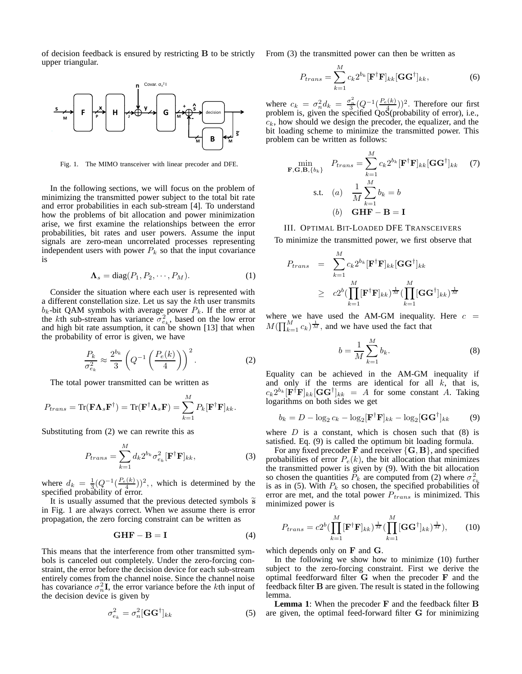of decision feedback is ensured by restricting **B** to be strictly upper triangular.



Fig. 1. The MIMO transceiver with linear precoder and DFE.

In the following sections, we will focus on the problem of minimizing the transmitted power subject to the total bit rate and error probabilities in each sub-stream [4]. To understand how the problems of bit allocation and power minimization arise, we first examine the relationships between the error probabilities, bit rates and user powers. Assume the input signals are zero-mean uncorrelated processes representing independent users with power  $P_k$  so that the input covariance is

$$
\Lambda_s = \text{diag}(P_1, P_2, \cdots, P_M). \tag{1}
$$

Consider the situation where each user is represented with a different constellation size. Let us say the kth user transmits  $b_k$ -bit QAM symbols with average power  $P_k$ . If the error at the *k*th sub-stream has variance  $\sigma_{e_k}^2$ , based on the low error and high bit rate assumption, it can be shown [13] that when the probability of error is given, we have

$$
\frac{P_k}{\sigma_{e_k}^2} \approx \frac{2^{b_k}}{3} \left( Q^{-1} \left( \frac{P_e(k)}{4} \right) \right)^2.
$$
 (2)

The total power transmitted can be written as

$$
P_{trans} = \text{Tr}(\mathbf{F}\mathbf{\Lambda}_s\mathbf{F}^{\dagger}) = \text{Tr}(\mathbf{F}^{\dagger}\mathbf{\Lambda}_s\mathbf{F}) = \sum_{k=1}^{M} P_k[\mathbf{F}^{\dagger}\mathbf{F}]_{kk}.
$$

Substituting from (2) we can rewrite this as

$$
P_{trans} = \sum_{k=1}^{M} d_k 2^{b_k} \sigma_{e_k}^2 [\mathbf{F}^\dagger \mathbf{F}]_{kk},
$$
 (3)

where  $d_k = \frac{1}{3} (Q^{-1} (\frac{P_e(k)}{4}))^2$ , which is determined by the specified probability of error.

It is usually assumed that the previous detected symbols **<sup>s</sup>** in Fig. 1 are always correct. When we assume there is error propagation, the zero forcing constraint can be written as

$$
GHF - B = I \tag{4}
$$

This means that the interference from other transmitted symbols is canceled out completely. Under the zero-forcing constraint, the error before the decision device for each sub-stream entirely comes from the channel noise. Since the channel noise has covariance  $\sigma_n^2 \mathbf{I}$ , the error variance before the kth input of the decision device is given by

$$
\sigma_{e_k}^2 = \sigma_n^2 [\mathbf{G} \mathbf{G}^\dagger]_{kk} \tag{5}
$$

From (3) the transmitted power can then be written as

$$
P_{trans} = \sum_{k=1}^{M} c_k 2^{b_k} [\mathbf{F}^{\dagger} \mathbf{F}]_{kk} [\mathbf{G} \mathbf{G}^{\dagger}]_{kk},
$$
 (6)

where  $c_k = \sigma_n^2 d_k = \frac{\sigma_n^2}{3} (Q^{-1}(\frac{P_e(k)}{4}))^2$ . Therefore our first problem is, given the specified QoS(probability of error), i.e.,  $c_k$ , how should we design the precoder, the equalizer, and the bit loading scheme to minimize the transmitted power. This problem can be written as follows:

$$
\min_{\mathbf{F}, \mathbf{G}, \mathbf{B}, \{b_k\}} \quad P_{trans} = \sum_{k=1}^{M} c_k 2^{b_k} [\mathbf{F}^{\dagger} \mathbf{F}]_{kk} [\mathbf{G} \mathbf{G}^{\dagger}]_{kk} \quad (7)
$$
\n
$$
\text{s.t.} \quad (a) \quad \frac{1}{M} \sum_{k=1}^{M} b_k = b
$$
\n
$$
(b) \quad \mathbf{G} \mathbf{H} \mathbf{F} - \mathbf{B} = \mathbf{I}
$$

# III. OPTIMAL BIT-LOADED DFE TRANSCEIVERS

To minimize the transmitted power, we first observe that

$$
P_{trans} = \sum_{k=1}^{M} c_k 2^{b_k} [\mathbf{F}^{\dagger} \mathbf{F}]_{kk} [\mathbf{G} \mathbf{G}^{\dagger}]_{kk}
$$
  

$$
\geq c2^{b} (\prod_{k=1}^{M} [\mathbf{F}^{\dagger} \mathbf{F}]_{kk})^{\frac{1}{M}} (\prod_{k=1}^{M} [\mathbf{G} \mathbf{G}^{\dagger}]_{kk})^{\frac{1}{M}}
$$

where we have used the AM-GM inequality. Here  $c =$  $M(\prod_{k=1}^{M} c_k)^{\frac{1}{M}}$ , and we have used the fact that

$$
b = \frac{1}{M} \sum_{k=1}^{M} b_k.
$$
\n
$$
(8)
$$

Equality can be achieved in the AM-GM inequality if and only if the terms are identical for all  $k$ , that is,  $c_k 2^{b_k} [\mathbf{F}^{\dagger} \mathbf{F}]_{kk} [\mathbf{G} \mathbf{G}^{\dagger}]_{kk} = A$  for some constant A. Taking logarithms on both sides we get

$$
b_k = D - \log_2 c_k - \log_2 [\mathbf{F}^\dagger \mathbf{F}]_{kk} - \log_2 [\mathbf{G} \mathbf{G}^\dagger]_{kk} \tag{9}
$$

where  $D$  is a constant, which is chosen such that (8) is satisfied. Eq. (9) is called the optimum bit loading formula.

For any fixed precoder **F** and receiver  $\{G, B\}$ , and specified probabilities of error  $P_e(k)$ , the bit allocation that minimizes the transmitted power is given by (9). With the bit allocation so chosen the quantities  $\tilde{P}_k$  are computed from (2) where  $\sigma_{e_k}^2$ is as in (5). With  $P_k$  so chosen, the specified probabilities of error are met, and the total power  $P_{trans}$  is minimized. This minimized power is

$$
P_{trans} = c2^{b} \left( \prod_{k=1}^{M} [\mathbf{F}^{\dagger} \mathbf{F}]_{kk} \right)^{\frac{1}{M}} \left( \prod_{k=1}^{M} [\mathbf{G} \mathbf{G}^{\dagger}]_{kk} \right)^{\frac{1}{M}},\tag{10}
$$

which depends only on **F** and **G**.

In the following we show how to minimize (10) further subject to the zero-forcing constraint. First we derive the optimal feedforward filter **G** when the precoder **F** and the feedback filter **B** are given. The result is stated in the following lemma.

**Lemma 1**: When the precoder **F** and the feedback filter **B** are given, the optimal feed-forward filter **G** for minimizing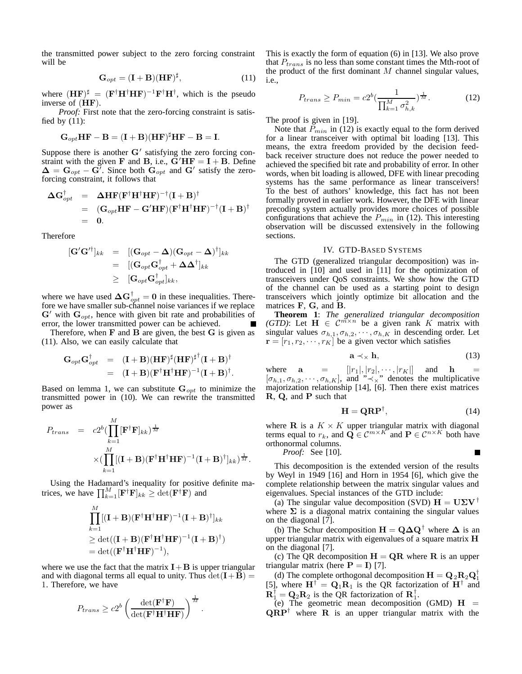the transmitted power subject to the zero forcing constraint will be

$$
\mathbf{G}_{opt} = (\mathbf{I} + \mathbf{B})(\mathbf{H}\mathbf{F})^{\sharp},\tag{11}
$$

where  $(HF)^{\sharp} = (F^{\dagger}H^{\dagger}HF)^{-1}F^{\dagger}H^{\dagger}$ , which is the pseudo inverse of (**HF**).

*Proof:* First note that the zero-forcing constraint is satisfied by  $(11)$ :

$$
\mathbf{G}_{opt}\mathbf{H}\mathbf{F} - \mathbf{B} = (\mathbf{I} + \mathbf{B})(\mathbf{H}\mathbf{F})^{\sharp}\mathbf{H}\mathbf{F} - \mathbf{B} = \mathbf{I}.
$$

Suppose there is another  $G'$  satisfying the zero forcing constraint with the given **F** and **B**, i.e.,  $\mathbf{\vec{G}}' \mathbf{H} \mathbf{F} = \mathbf{I} + \mathbf{B}$ . Define  $\mathbf{\Delta} = \mathbf{G}_{opt} - \mathbf{G}^{\prime}$ . Since both  $\mathbf{G}_{opt}$  and  $\mathbf{G}^{\prime}$  satisfy the zeroforcing constraint, it follows that

$$
\begin{array}{rcl} \mathbf{\Delta G}_{opt}^{\dagger} & = & \mathbf{\Delta H F (F^{\dagger}H^{\dagger}HF)^{-\dagger}(I+B)^{\dagger}} \\ & = & (\mathbf{G}_{opt}\mathbf{H F} - \mathbf{G'HF})(\mathbf{F^{\dagger}H^{\dagger}HF)^{-\dagger}(I+B)^{\dagger}} \\ & = & \mathbf{0}. \end{array}
$$

Therefore

$$
\begin{array}{rcl} [\mathbf{G}'\mathbf{G}'^{\dagger}]_{kk} & = & [(\mathbf{G}_{opt}-\mathbf{\Delta})(\mathbf{G}_{opt}-\mathbf{\Delta})^{\dagger}]_{kk} \\ & = & [(\mathbf{G}_{opt}\mathbf{G}_{opt}^{\dagger}+\mathbf{\Delta}\mathbf{\Delta}^{\dagger}]_{kk} \\ & \geq & [\mathbf{G}_{opt}\mathbf{G}_{opt}^{\dagger}]_{kk}, \end{array}
$$

where we have used  $\Delta G_{opt}^{\dagger} = 0$  in these inequalities. Therefore we have smaller sub-channel noise variances if we replace  $G'$  with  $G_{opt}$ , hence with given bit rate and probabilities of error, the lower transmitted power can be achieved.

Therefore, when **F** and **B** are given, the best **G** is given as (11). Also, we can easily calculate that

$$
\begin{array}{rcl} \mathbf{G}_{opt} \mathbf{G}_{opt}^{\dagger} & = & (\mathbf{I} + \mathbf{B}) (\mathbf{H} \mathbf{F})^{\sharp} (\mathbf{H} \mathbf{F})^{\sharp \dagger} (\mathbf{I} + \mathbf{B})^{\dagger} \\ & = & (\mathbf{I} + \mathbf{B}) (\mathbf{F}^{\dagger} \mathbf{H}^{\dagger} \mathbf{H} \mathbf{F})^{-1} (\mathbf{I} + \mathbf{B})^{\dagger} . \end{array}
$$

Based on lemma 1, we can substitute  $\mathbf{G}_{opt}$  to minimize the transmitted power in (10). We can rewrite the transmitted power as

$$
P_{trans} = c2^{b} \left( \prod_{k=1}^{M} [\mathbf{F}^{\dagger} \mathbf{F}]_{kk} \right)^{\frac{1}{M}} \times \left( \prod_{k=1}^{M} [(\mathbf{I} + \mathbf{B})(\mathbf{F}^{\dagger} \mathbf{H}^{\dagger} \mathbf{H} \mathbf{F})^{-1} (\mathbf{I} + \mathbf{B})^{\dagger} \right]_{kk} \right)^{\frac{1}{M}}.
$$

Using the Hadamard's inequality for positive definite matrices, we have  $\prod_{k=1}^{M} [\mathbf{F}^{\dagger} \mathbf{F}]_{kk} \geq \det(\mathbf{F}^{\dagger} \mathbf{F})$  and

$$
\prod_{k=1}^{M}[(\mathbf{I} + \mathbf{B})(\mathbf{F}^{\dagger}\mathbf{H}^{\dagger}\mathbf{H}\mathbf{F})^{-1}(\mathbf{I} + \mathbf{B})^{\dagger}]_{kk}
$$
  
\n
$$
\geq \det((\mathbf{I} + \mathbf{B})(\mathbf{F}^{\dagger}\mathbf{H}^{\dagger}\mathbf{H}\mathbf{F})^{-1}(\mathbf{I} + \mathbf{B})^{\dagger})
$$
  
\n
$$
= \det((\mathbf{F}^{\dagger}\mathbf{H}^{\dagger}\mathbf{H}\mathbf{F})^{-1}),
$$

where we use the fact that the matrix  $\mathbf{I} + \mathbf{B}$  is upper triangular and with diagonal terms all equal to unity. Thus  $det(\mathbf{I} + \mathbf{B}) =$ 1. Therefore, we have

$$
P_{trans} \geq c2^b \left( \frac{\det(\mathbf{F}^\dagger \mathbf{F})}{\det(\mathbf{F}^\dagger \mathbf{H}^\dagger \mathbf{H} \mathbf{F})} \right)^{\frac{1}{M}}.
$$

This is exactly the form of equation (6) in [13]. We also prove that  $P_{trans}$  is no less than some constant times the Mth-root of the product of the first dominant  $M$  channel singular values, i.e.,

$$
P_{trans} \ge P_{min} = c2^{b} \left(\frac{1}{\prod_{k=1}^{M} \sigma_{h,k}^{2}}\right)^{\frac{1}{M}}.
$$
 (12)

The proof is given in [19].

Note that  $P_{min}$  in (12) is exactly equal to the form derived for a linear transceiver with optimal bit loading [13]. This means, the extra freedom provided by the decision feedback receiver structure does not reduce the power needed to achieved the specified bit rate and probability of error. In other words, when bit loading is allowed, DFE with linear precoding systems has the same performance as linear transceivers! To the best of authors' knowledge, this fact has not been formally proved in earlier work. However, the DFE with linear precoding system actually provides more choices of possible configurations that achieve the  $P_{min}$  in (12). This interesting observation will be discussed extensively in the following sections.

# IV. GTD-BASED SYSTEMS

The GTD (generalized triangular decomposition) was introduced in [10] and used in [11] for the optimization of transceivers under QoS constraints. We show how the GTD of the channel can be used as a starting point to design transceivers which jointly optimize bit allocation and the matrices **F**, **G**, and **B**.

**Theorem 1**: *The generalized triangular decomposition (GTD)*: Let  $H \in C^{m \times n}$  be a given rank K matrix with singular values  $\sigma_{h,1}, \sigma_{h,2}, \cdots, \sigma_{h,K}$  in descending order. Let  $\mathbf{r} = [r_1, r_2, \cdots, r_K]$  be a given vector which satisfies

$$
\mathbf{a} \prec_{\times} \mathbf{h},\tag{13}
$$

where  $\mathbf{a} = [r_1], [r_2], \cdots, [r_K]$  and  $\mathbf{h} =$  $[\sigma_{h,1}, \sigma_{h,2}, \cdots, \sigma_{h,K}]$ , and  $\rightarrow \prec \sim$  denotes the multiplicative majorization relationship [14], [6]. Then there exist matrices **R**, **Q**, and **P** such that

$$
\mathbf{H} = \mathbf{Q}\mathbf{R}\mathbf{P}^{\dagger},\tag{14}
$$

Г

where **R** is a  $K \times K$  upper triangular matrix with diagonal terms equal to  $r_k$ , and  $\mathbf{Q} \in \mathcal{C}^{m \times K}$  and  $\mathbf{P} \in \mathcal{C}^{n \times K}$  both have orthonormal columns.

*Proof:* See [10].

This decomposition is the extended version of the results by Weyl in 1949 [16] and Horn in 1954 [6], which give the complete relationship between the matrix singular values and eigenvalues. Special instances of the GTD include:

(a) The singular value decomposition (SVD)  $H = U\Sigma V^{\dagger}$ where  $\Sigma$  is a diagonal matrix containing the singular values on the diagonal [7].

(b) The Schur decomposition  $H = \mathbf{Q}\Delta\mathbf{Q}^{\dagger}$  where  $\Delta$  is an upper triangular matrix with eigenvalues of a square matrix **H** on the diagonal [7].

(c) The QR decomposition  $H = QR$  where R is an upper triangular matrix (here  $P = I$ ) [7].

(d) The complete orthogonal decomposition  $\mathbf{H} = \mathbf{Q}_2 \mathbf{R}_2 \mathbf{Q}_1^{\dagger}$ [5], where  $H^{\dagger} = Q_1 R_1$  is the QR factorization of  $H^{\dagger}$  and  $\mathbf{R}_1^{\dagger} = \mathbf{Q}_2 \mathbf{R}_2$  is the QR factorization of  $\mathbf{R}_1^{\dagger}$ .

 $\overline{e}$  (e) The geometric mean decomposition (GMD)  $\overline{H}$  =  $\mathbf{QRP}^{\dagger}$  where **R** is an upper triangular matrix with the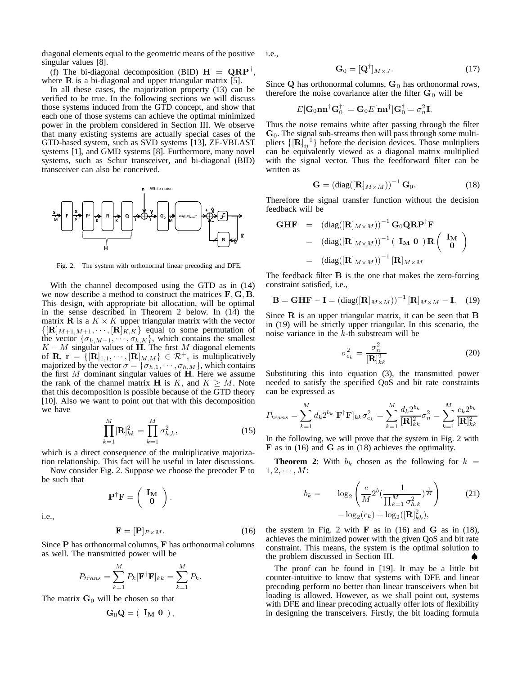diagonal elements equal to the geometric means of the positive singular values [8].

(f) The bi-diagonal decomposition (BID)  $H = QRP^{\dagger}$ , where  $\bf{R}$  is a bi-diagonal and upper triangular matrix [5].

In all these cases, the majorization property (13) can be verified to be true. In the following sections we will discuss those systems induced from the GTD concept, and show that each one of those systems can achieve the optimal minimized power in the problem considered in Section III. We observe that many existing systems are actually special cases of the GTD-based system, such as SVD systems [13], ZF-VBLAST systems [1], and GMD systems [8]. Furthermore, many novel systems, such as Schur transceiver, and bi-diagonal (BID) transceiver can also be conceived.



Fig. 2. The system with orthonormal linear precoding and DFE.

With the channel decomposed using the GTD as in (14) we now describe a method to construct the matrices **F**, **G**, **B**. This design, with appropriate bit allocation, will be optimal in the sense described in Theorem 2 below. In (14) the matrix **R** is a  $K \times K$  upper triangular matrix with the vector  $\{[\mathbf{R}]_{M+1,M+1}, \cdots, [\mathbf{R}]_{K,K}\}$  equal to some permutation of the vector  $\{\sigma_{h,M+1}, \cdots, \sigma_{h,K}\}$ , which contains the smallest  $K - M$  singular values of **H**. The first M diagonal elements of **R**,  $\mathbf{r} = \{[\mathbf{R}]_{1,1}, \cdots, [\mathbf{R}]_{M,M}\}\in \mathcal{R}^+$ , is multiplicatively majorized by the vector  $\sigma = {\sigma_{h,1}, \cdots, \sigma_{h,M}}$ , which contains the first M dominant singular values of **H**. Here we assume the rank of the channel matrix **H** is K, and  $K \geq M$ . Note that this decomposition is possible because of the GTD theory [10]. Also we want to point out that with this decomposition we have

$$
\prod_{k=1}^{M} [\mathbf{R}]_{kk}^{2} = \prod_{k=1}^{M} \sigma_{h,k}^{2},
$$
\n(15)

which is a direct consequence of the multiplicative majorization relationship. This fact will be useful in later discussions.

Now consider Fig. 2. Suppose we choose the precoder **F** to be such that

**0**

.

 $\mathbf{P}^{\dagger}\mathbf{F} = \begin{pmatrix} \mathbf{I_M} \\ \mathbf{0} \end{pmatrix}$ 

i.e.,

$$
\mathbf{F} = [\mathbf{P}]_{P \times M}.\tag{16}
$$

Since **P** has orthonormal columns, **F** has orthonormal columns as well. The transmitted power will be

$$
P_{trans} = \sum_{k=1}^{M} P_k [\mathbf{F}^{\dagger} \mathbf{F}]_{kk} = \sum_{k=1}^{M} P_k.
$$

The matrix  $G_0$  will be chosen so that

$$
\mathbf{G}_0\mathbf{Q} = (\begin{array}{cc} \mathbf{I_M} \; \mathbf{0} \end{array}),
$$

i.e.,

$$
\mathbf{G}_0 = [\mathbf{Q}^\dagger]_{M \times J}.\tag{17}
$$

Since  $Q$  has orthonormal columns,  $G_0$  has orthonormal rows, therefore the noise covariance after the filter  $G_0$  will be

$$
E[\mathbf{G}_0\mathbf{n}\mathbf{n}^\dagger\mathbf{G}_0^\dagger]=\mathbf{G}_0E[\mathbf{n}\mathbf{n}^\dagger]\mathbf{G}_0^\dagger=\sigma_n^2\mathbf{I}.
$$

Thus the noise remains white after passing through the filter **G**0. The signal sub-streams then will pass through some multipliers  $\{[\mathbf{R}]_{ii}^{-1}\}$  before the decision devices. Those multipliers can be equivalently viewed as a diagonal matrix multiplied with the signal vector. Thus the feedforward filter can be written as

$$
\mathbf{G} = \left(\text{diag}([\mathbf{R}]_{M \times M})\right)^{-1} \mathbf{G}_0. \tag{18}
$$

Therefore the signal transfer function without the decision feedback will be

$$
\begin{array}{rcl}\n\mathbf{GHF} & = & (\text{diag}([\mathbf{R}]_{M \times M}))^{-1} \mathbf{G}_0 \mathbf{QRP}^\dagger \mathbf{F} \\
& = & (\text{diag}([\mathbf{R}]_{M \times M}))^{-1} (\mathbf{I}_M \mathbf{0}) \mathbf{R} \begin{pmatrix} \mathbf{I}_M \\ \mathbf{0} \end{pmatrix} \\
& = & (\text{diag}([\mathbf{R}]_{M \times M}))^{-1} [\mathbf{R}]_{M \times M}\n\end{array}
$$

The feedback filter **B** is the one that makes the zero-forcing constraint satisfied, i.e.,

$$
\mathbf{B} = \mathbf{GHF} - \mathbf{I} = (\text{diag}([\mathbf{R}]_{M \times M}))^{-1} [\mathbf{R}]_{M \times M} - \mathbf{I}. \quad (19)
$$

Since **R** is an upper triangular matrix, it can be seen that **B** in (19) will be strictly upper triangular. In this scenario, the noise variance in the k-th substream will be

$$
\sigma_{e_k}^2 = \frac{\sigma_n^2}{[\mathbf{R}]_{kk}^2} \tag{20}
$$

Substituting this into equation (3), the transmitted power needed to satisfy the specified QoS and bit rate constraints can be expressed as

$$
P_{trans} = \sum_{k=1}^{M} d_k 2^{b_k} [\mathbf{F}^{\dagger} \mathbf{F}]_{kk} \sigma_{e_k}^2 = \sum_{k=1}^{M} \frac{d_k 2^{b_k}}{[\mathbf{R}]_{kk}^2} \sigma_n^2 = \sum_{k=1}^{M} \frac{c_k 2^{b_k}}{[\mathbf{R}]_{kk}^2}
$$

In the following, we will prove that the system in Fig. 2 with **F** as in (16) and **G** as in (18) achieves the optimality.

**Theorem 2**: With  $b_k$  chosen as the following for  $k =$  $1, 2, \cdots, M$ :

$$
b_k = \log_2\left(\frac{c}{M} 2^b \left(\frac{1}{\prod_{k=1}^M \sigma_{h,k}^2}\right)^{\frac{1}{M}}\right) \qquad (21)
$$

$$
-\log_2(c_k) + \log_2([R]_{kk}^2),
$$

the system in Fig. 2 with **F** as in (16) and **G** as in (18), achieves the minimized power with the given QoS and bit rate constraint. This means, the system is the optimal solution to the problem discussed in Section III.

The proof can be found in [19]. It may be a little bit counter-intuitive to know that systems with DFE and linear precoding perform no better than linear transceivers when bit loading is allowed. However, as we shall point out, systems with DFE and linear precoding actually offer lots of flexibility in designing the transceivers. Firstly, the bit loading formula